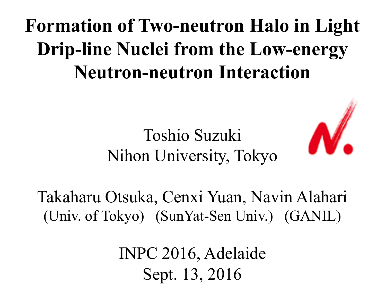## **Formation of Two-neutron Halo in Light Drip-line Nuclei from the Low-energy Neutron-neutron Interaction**

## Toshio Suzuki Nihon University, Tokyo



Takaharu Otsuka, Cenxi Yuan, Navin Alahari (Univ. of Tokyo) (SunYat-Sen Univ.) (GANIL)

> INPC 2016, Adelaide Sept. 13, 2016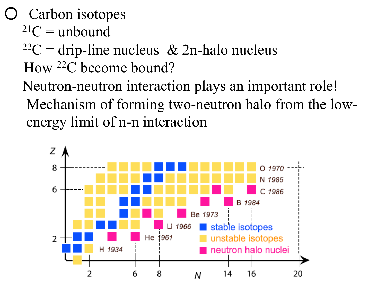Carbon isotopes

- $^{21}C$  = unbound
- $22C =$  drip-line nucleus & 2n-halo nucleus How 22C become bound?
- Neutron-neutron interaction plays an important role! Mechanism of forming two-neutron halo from the low energy limit of n-n interaction

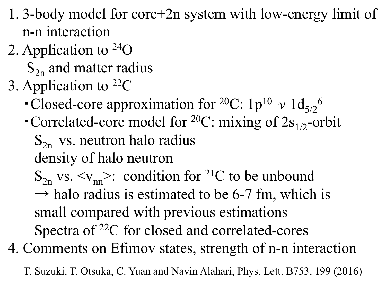- 1. 3-body model for core+2n system with low-energy limit of n-n interaction
- 2. Application to 24O
	- $S_{2n}$  and matter radius
- 3. Application to 22C
- Closed-core approximation for <sup>20</sup>C: 1p<sup>10</sup>  $\nu$  1d<sub>5/2</sub><sup>6</sup>
	- Correlated-core model for <sup>20</sup>C: mixing of  $2s_{1/2}$ -orbit  $S_{2n}$  vs. neutron halo radius density of halo neutron
		- $S_{2n}$  vs.  $\langle v_{nn} \rangle$ : condition for <sup>21</sup>C to be unbound
		- $\rightarrow$  halo radius is estimated to be 6-7 fm, which is small compared with previous estimations Spectra of 22C for closed and correlated-cores
- 4. Comments on Efimov states, strength of n-n interaction
	- T. Suzuki, T. Otsuka, C. Yuan and Navin Alahari, Phys. Lett. B753, 199 (2016)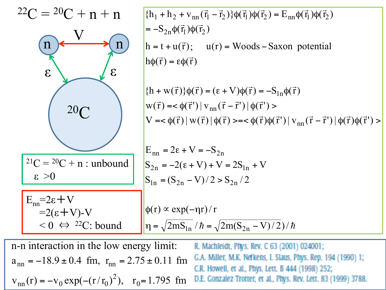

n-n interaction in the low energy limit: R. Machleidt, Phys. Rev. C 63 (2001) 024001; G.A. Miller, M.K. Nefkens, I. Slaus, Phys. Rep. 194 (1990) 1;  $a_{nn} = -18.9 \pm 0.4$  fm,  $r_{nn} = 2.75 \pm 0.11$  fm C.R. Howell, et al., Phys. Lett. B 444 (1998) 252; 2  $v_{nn}(r) = -v_0 \exp(-(r/r_0)^2)$ ,  $r_0 = 1.795$  fm D.E. Gonzalez Trotter, et al., Phys. Rev. Lett. 83 (1999) 3788.  $_{\text{nn}}(\mathbf{r}) = -\mathbf{v}_0 \exp(-(r/r_0)^2), \quad \mathbf{r}_0 =$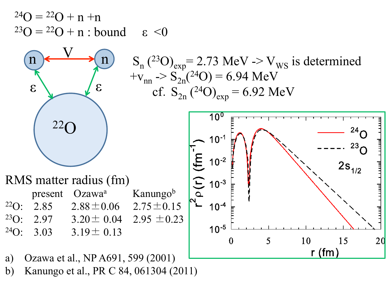$^{24}O = ^{22}O + n + n$  $^{23}O = ^{22}O + n$  : bound  $\epsilon$  <0



$$
n
$$
\nS<sub>n</sub> (23O)<sub>exp</sub> = 2.73 MeV → V<sub>WS</sub> is determined  
\n+v<sub>nn</sub> → S<sub>2n</sub>(24O) = 6.94 MeV  
\ncf. S<sub>2n</sub> (24O)<sub>exp</sub> = 6.92 MeV



- a) Ozawa et al., NP A691, 599 (2001)
- b) Kanungo et al., PR C 84, 061304 (2011)

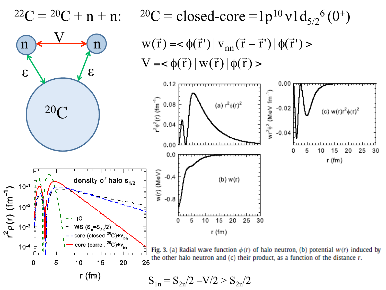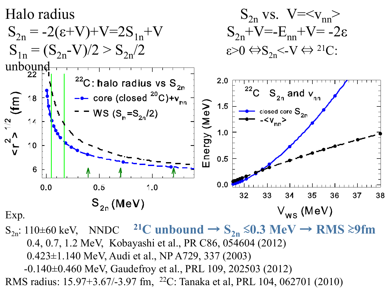

S<sub>2n</sub>: 110±60 keV, NNDC <sup>21</sup>C unbound → S<sub>2n</sub> ≤0.3 MeV → RMS ≥9fm 0.4, 0.7, 1.2 MeV, Kobayashi et al., PR C86, 054604 (2012) 0.423±1.140 MeV, Audi et al., NP A729, 337 (2003) -0.140±0.460 MeV, Gaudefroy et al., PRL 109, 202503 (2012) RMS radius: 15.97+3.67/-3.97 fm, 22C: Tanaka et al, PRL 104, 062701 (2010)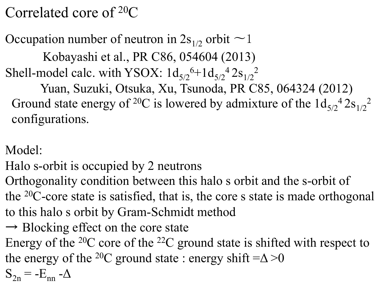Correlated core of 20C

Occupation number of neutron in  $2s_{1/2}$  orbit  $\sim$  1

 Kobayashi et al., PR C86, 054604 (2013) Shell-model calc. with YSOX:  $1d_{5/2}^{6}+1d_{5/2}^{4} 2s_{1/2}^{2}$ 

 Yuan, Suzuki, Otsuka, Xu, Tsunoda, PR C85, 064324 (2012) Ground state energy of <sup>20</sup>C is lowered by admixture of the  $1d_{5/2}$ <sup>4</sup>  $2s_{1/2}$ <sup>2</sup> configurations.

Model:

Halo s-orbit is occupied by 2 neutrons

Orthogonality condition between this halo s orbit and the s-orbit of the 20C-core state is satisfied, that is, the core s state is made orthogonal to this halo s orbit by Gram-Schmidt method

 $\rightarrow$  Blocking effect on the core state

Energy of the  $20C$  core of the  $22C$  ground state is shifted with respect to the energy of the <sup>20</sup>C ground state : energy shift  $=\Delta > 0$ 

 $S_{2n} = -E_{nn} - \Delta$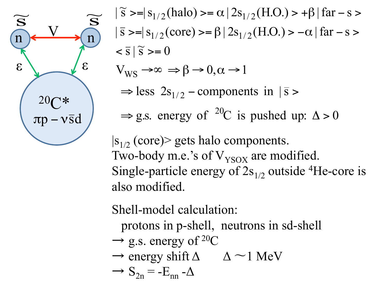

 $\Rightarrow$  g.s. energy of <sup>20</sup>C is pushed up:  $\Delta > 0$  $\Rightarrow$  less 2s<sub>1/2</sub> – components in  $|\bar{s}$  $V_{WS} \rightarrow \infty \Rightarrow \beta \rightarrow 0, \alpha \rightarrow 1$  $< \bar{s} | \tilde{s} > = 0$  $|\bar{s} \rangle = |s_{1/2}(\text{core}) \rangle = \beta |2s_{1/2}(\text{H.O.}) \rangle - \alpha | \text{far} - s \rangle$  $|\tilde{s} \rangle = |s_{1/2}(\text{halo}) \rangle = \alpha |2s_{1/2}(\text{H.O.}) \rangle + \beta | \text{far} - \text{s} \rangle$  $|s_{1/2}$  (core) gets halo components.

Single-particle energy of  $2s_{1/2}$  outside <sup>4</sup>He-core is

also modified.

Two-body m.e.'s of  $V_{YSOX}$  are modified.

Shell-model calculation:

protons in p-shell, neutrons in sd-shell

- $\rightarrow$  g.s. energy of <sup>20</sup>C
- $\rightarrow$  energy shift  $\Delta$   $\Delta$   $\sim$  1 MeV

$$
\rightarrow S_{2n} = -E_{nn} - \Delta
$$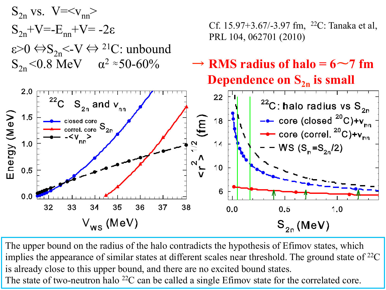

The upper bound on the radius of the halo contradicts the hypothesis of Efimov states, which implies the appearance of similar states at different scales near threshold. The ground state of <sup>22</sup>C is already close to this upper bound, and there are no excited bound states. The state of two-neutron halo <sup>22</sup>C can be called a single Efimov state for the correlated core.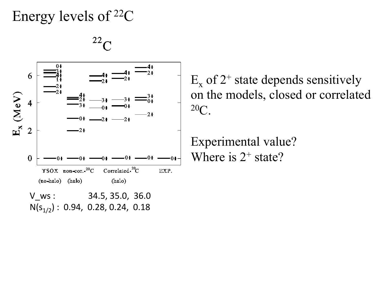## Energy levels of 22C



 $E<sub>x</sub>$  of 2<sup>+</sup> state depends sensitively on the models, closed or correlated  $20<sub>C</sub>$ 

Experimental value? Where is  $2^+$  state?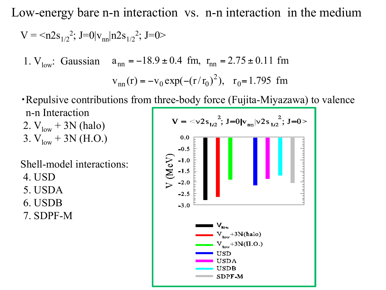Low-energy bare n-n interaction vs. n-n interaction in the medium

$$
V = \langle n2s_{1/2}^2; J=0|v_{nn}|n2s_{1/2}^2; J=0\rangle
$$

1. V<sub>low</sub>: Gaussian  $a_{nn} = -18.9 \pm 0.4$  fm,  $r_{nn} = 2.75 \pm 0.11$  fm

$$
v_{nn}(r) = -v_0 \exp(-(r/r_0)^2), r_0 = 1.795 \text{ fm}
$$

・Repulsive contributions from three-body force (Fujita-Miyazawa) to valence n-n Interaction  $V = \langle v2s_{1/2}^2$ ; J=0| $v_{nn}$ | $v2s_{1/2}^2$ ; J=0> 2.  $V_{low}$  + 3N (halo) 3.  $V_{low}$  + 3N (H.O.)  $0.0$  $-0.5$ 

Shell-model interactions:

4. USD

5. USDA

6. USDB

7. SDPF-M

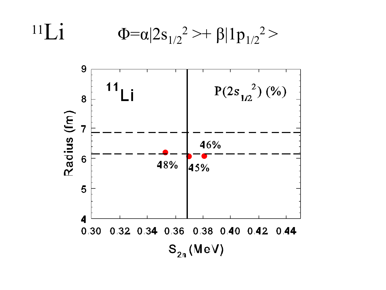